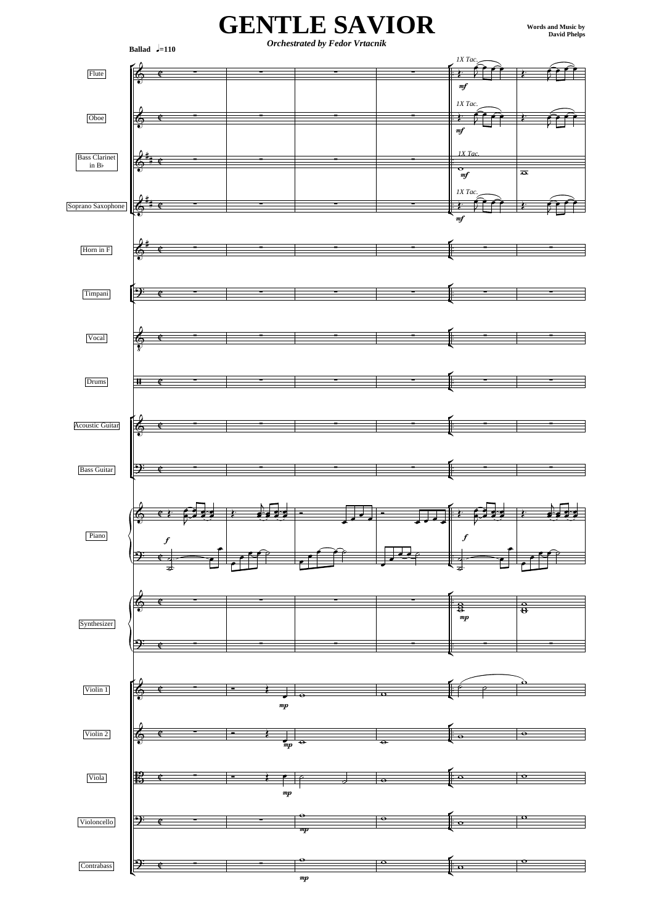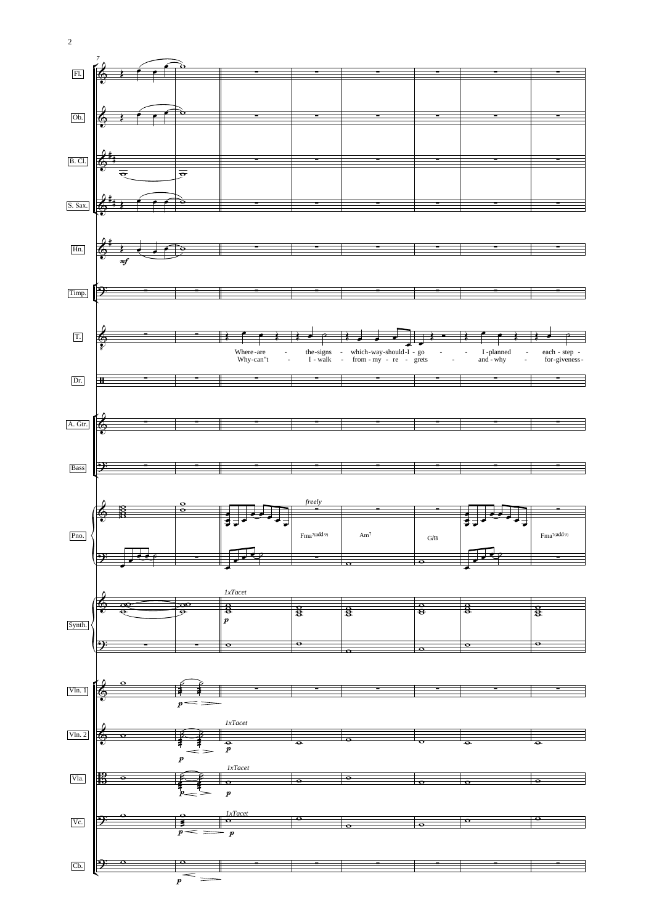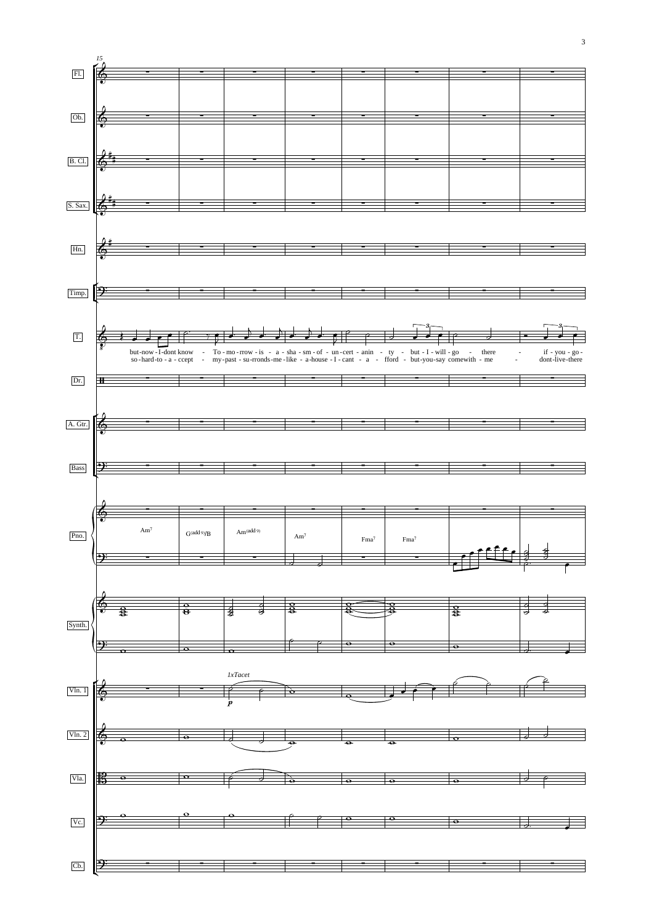